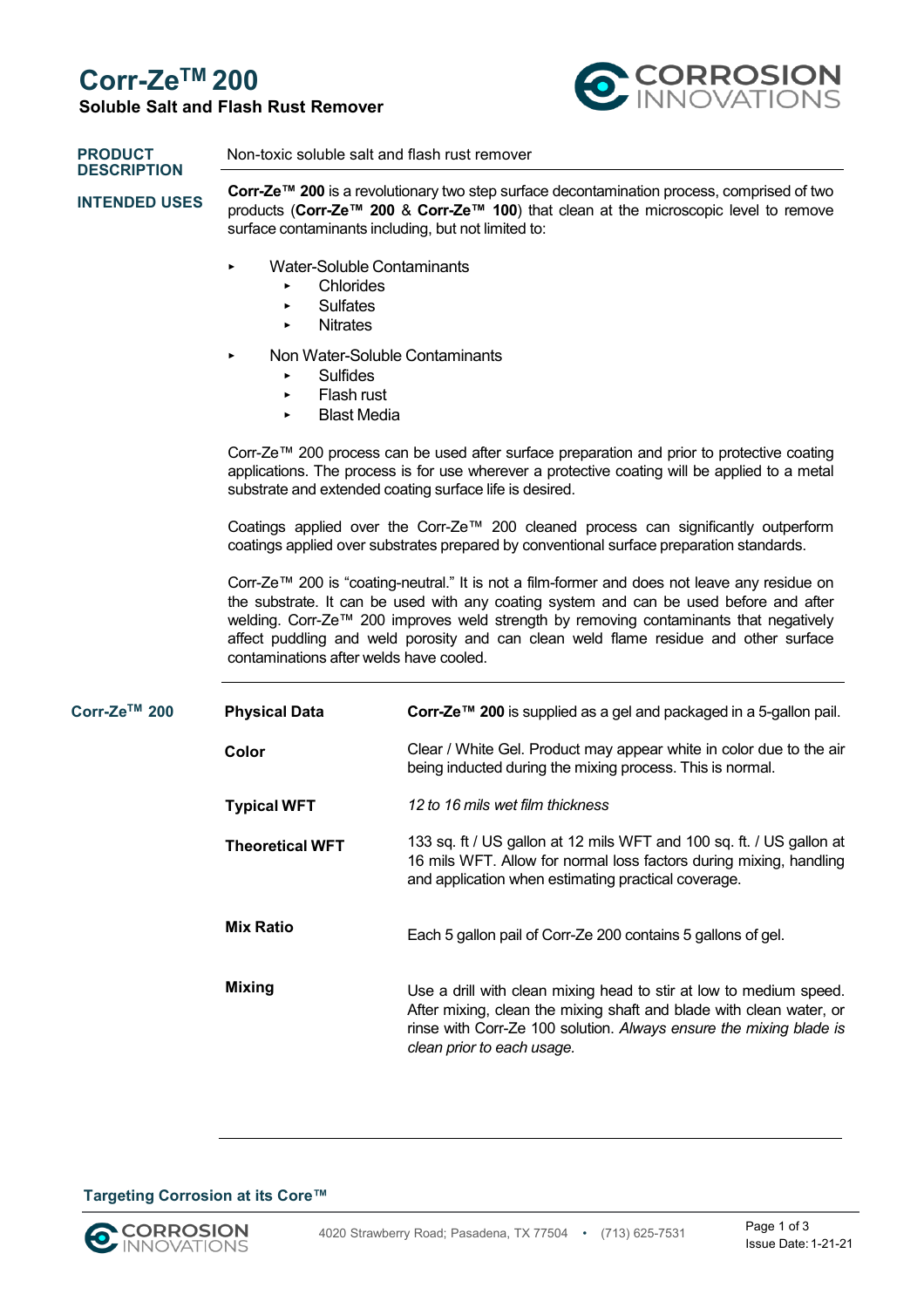### **Corr-ZeTM 200**

### **Soluble Salt and Flash Rust Remover**



| <b>PRODUCT</b><br><b>DESCRIPTION</b><br><b>INTENDED USES</b> | Non-toxic soluble salt and flash rust remover<br>Corr-Ze <sup>™</sup> 200 is a revolutionary two step surface decontamination process, comprised of two<br>products (Corr-Ze™ 200 & Corr-Ze™ 100) that clean at the microscopic level to remove<br>surface contaminants including, but not limited to:<br>Water-Soluble Contaminants<br>►<br>Chlorides<br><b>Sulfates</b><br><b>Nitrates</b><br>Non Water-Soluble Contaminants<br>►<br><b>Sulfides</b><br>Flash rust<br>▶<br><b>Blast Media</b><br>Corr-Ze™ 200 process can be used after surface preparation and prior to protective coating<br>applications. The process is for use wherever a protective coating will be applied to a metal<br>substrate and extended coating surface life is desired.<br>Coatings applied over the Corr-Ze™ 200 cleaned process can significantly outperform<br>coatings applied over substrates prepared by conventional surface preparation standards. |                                                              |  |                                                                                                                                                                                                                                                                                                                                                                                                                    |                        |                                                                                                                                                                                                   |
|--------------------------------------------------------------|----------------------------------------------------------------------------------------------------------------------------------------------------------------------------------------------------------------------------------------------------------------------------------------------------------------------------------------------------------------------------------------------------------------------------------------------------------------------------------------------------------------------------------------------------------------------------------------------------------------------------------------------------------------------------------------------------------------------------------------------------------------------------------------------------------------------------------------------------------------------------------------------------------------------------------------------|--------------------------------------------------------------|--|--------------------------------------------------------------------------------------------------------------------------------------------------------------------------------------------------------------------------------------------------------------------------------------------------------------------------------------------------------------------------------------------------------------------|------------------------|---------------------------------------------------------------------------------------------------------------------------------------------------------------------------------------------------|
|                                                              |                                                                                                                                                                                                                                                                                                                                                                                                                                                                                                                                                                                                                                                                                                                                                                                                                                                                                                                                              |                                                              |  | Corr-Ze™ 200 is "coating-neutral." It is not a film-former and does not leave any residue on<br>the substrate. It can be used with any coating system and can be used before and after<br>welding. Corr-Ze™ 200 improves weld strength by removing contaminants that negatively<br>affect puddling and weld porosity and can clean weld flame residue and other surface<br>contaminations after welds have cooled. |                        |                                                                                                                                                                                                   |
|                                                              |                                                                                                                                                                                                                                                                                                                                                                                                                                                                                                                                                                                                                                                                                                                                                                                                                                                                                                                                              |                                                              |  | Corr-Ze™ 200                                                                                                                                                                                                                                                                                                                                                                                                       | <b>Physical Data</b>   | Corr-Ze™ 200 is supplied as a gel and packaged in a 5-gallon pail.                                                                                                                                |
|                                                              |                                                                                                                                                                                                                                                                                                                                                                                                                                                                                                                                                                                                                                                                                                                                                                                                                                                                                                                                              |                                                              |  |                                                                                                                                                                                                                                                                                                                                                                                                                    | Color                  | Clear / White Gel. Product may appear white in color due to the air<br>being inducted during the mixing process. This is normal.                                                                  |
|                                                              |                                                                                                                                                                                                                                                                                                                                                                                                                                                                                                                                                                                                                                                                                                                                                                                                                                                                                                                                              |                                                              |  |                                                                                                                                                                                                                                                                                                                                                                                                                    | <b>Typical WFT</b>     | 12 to 16 mils wet film thickness                                                                                                                                                                  |
|                                                              |                                                                                                                                                                                                                                                                                                                                                                                                                                                                                                                                                                                                                                                                                                                                                                                                                                                                                                                                              |                                                              |  |                                                                                                                                                                                                                                                                                                                                                                                                                    | <b>Theoretical WFT</b> | 133 sq. ft / US gallon at 12 mils WFT and 100 sq. ft. / US gallon at<br>16 mils WFT. Allow for normal loss factors during mixing, handling<br>and application when estimating practical coverage. |
|                                                              | <b>Mix Ratio</b>                                                                                                                                                                                                                                                                                                                                                                                                                                                                                                                                                                                                                                                                                                                                                                                                                                                                                                                             | Each 5 gallon pail of Corr-Ze 200 contains 5 gallons of gel. |  |                                                                                                                                                                                                                                                                                                                                                                                                                    |                        |                                                                                                                                                                                                   |
| <b>Mixing</b>                                                | Use a drill with clean mixing head to stir at low to medium speed.<br>After mixing, clean the mixing shaft and blade with clean water, or<br>rinse with Corr-Ze 100 solution. Always ensure the mixing blade is<br>clean prior to each usage.                                                                                                                                                                                                                                                                                                                                                                                                                                                                                                                                                                                                                                                                                                |                                                              |  |                                                                                                                                                                                                                                                                                                                                                                                                                    |                        |                                                                                                                                                                                                   |

#### **Targeting Corrosion at its Core™**

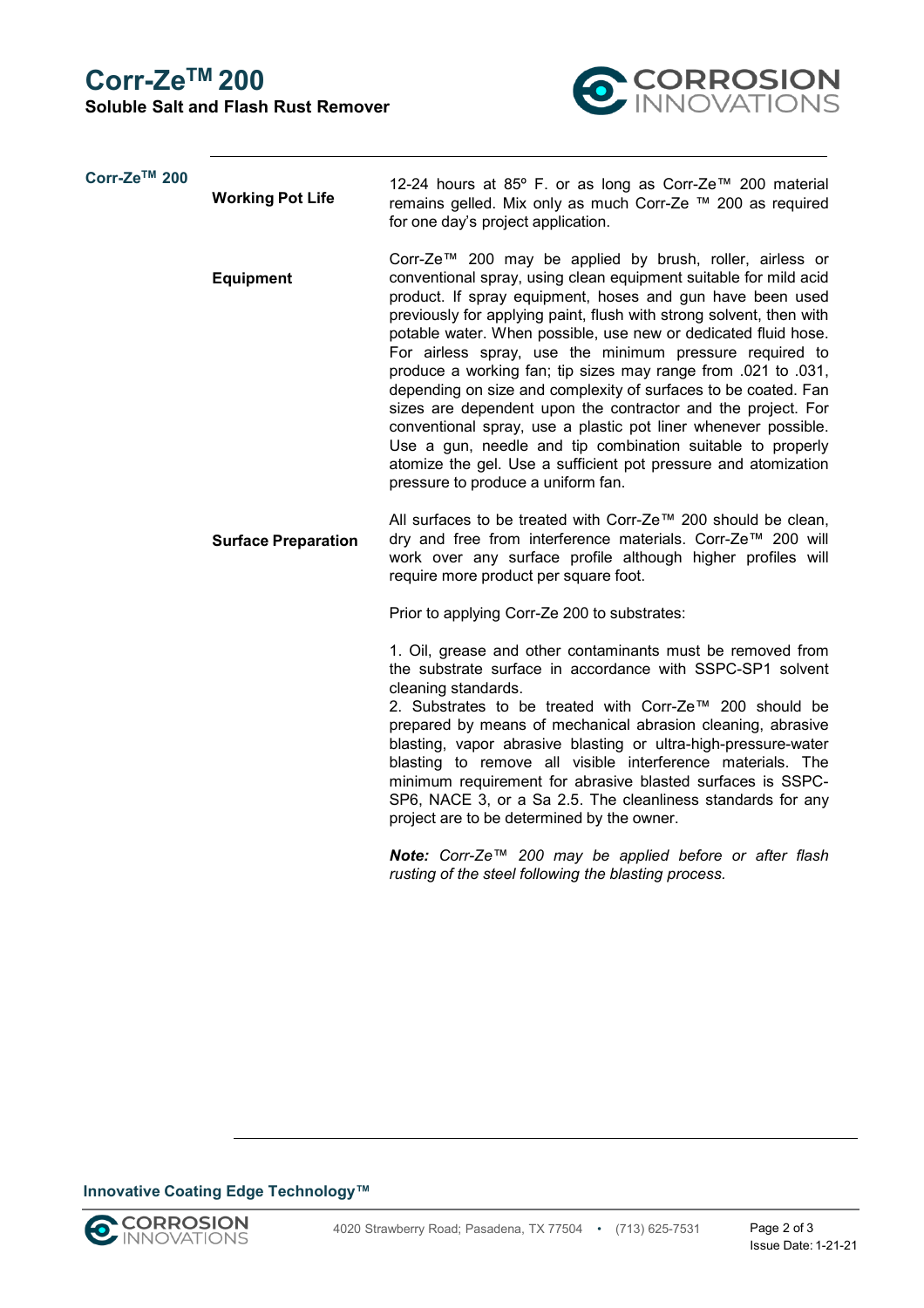## **Corr-ZeTM 200**

**Soluble Salt and Flash Rust Remover**



| Corr-Ze™ 200 | <b>Working Pot Life</b>    | 12-24 hours at 85° F. or as long as Corr-Ze™ 200 material<br>remains gelled. Mix only as much Corr-Ze ™ 200 as required<br>for one day's project application.                                                                                                                                                                                                                                                                                                                                                                                                                                                                                                                                                                                                                                                                            |
|--------------|----------------------------|------------------------------------------------------------------------------------------------------------------------------------------------------------------------------------------------------------------------------------------------------------------------------------------------------------------------------------------------------------------------------------------------------------------------------------------------------------------------------------------------------------------------------------------------------------------------------------------------------------------------------------------------------------------------------------------------------------------------------------------------------------------------------------------------------------------------------------------|
|              | <b>Equipment</b>           | Corr-Ze™ 200 may be applied by brush, roller, airless or<br>conventional spray, using clean equipment suitable for mild acid<br>product. If spray equipment, hoses and gun have been used<br>previously for applying paint, flush with strong solvent, then with<br>potable water. When possible, use new or dedicated fluid hose.<br>For airless spray, use the minimum pressure required to<br>produce a working fan; tip sizes may range from .021 to .031,<br>depending on size and complexity of surfaces to be coated. Fan<br>sizes are dependent upon the contractor and the project. For<br>conventional spray, use a plastic pot liner whenever possible.<br>Use a gun, needle and tip combination suitable to properly<br>atomize the gel. Use a sufficient pot pressure and atomization<br>pressure to produce a uniform fan. |
|              | <b>Surface Preparation</b> | All surfaces to be treated with Corr-Ze™ 200 should be clean,<br>dry and free from interference materials. Corr-Ze™ 200 will<br>work over any surface profile although higher profiles will<br>require more product per square foot.                                                                                                                                                                                                                                                                                                                                                                                                                                                                                                                                                                                                     |
|              |                            | Prior to applying Corr-Ze 200 to substrates:                                                                                                                                                                                                                                                                                                                                                                                                                                                                                                                                                                                                                                                                                                                                                                                             |
|              |                            | 1. Oil, grease and other contaminants must be removed from<br>the substrate surface in accordance with SSPC-SP1 solvent<br>cleaning standards.<br>2. Substrates to be treated with Corr-Ze™ 200 should be<br>prepared by means of mechanical abrasion cleaning, abrasive<br>blasting, vapor abrasive blasting or ultra-high-pressure-water<br>blasting to remove all visible interference materials. The<br>minimum requirement for abrasive blasted surfaces is SSPC-<br>SP6, NACE 3, or a Sa 2.5. The cleanliness standards for any<br>project are to be determined by the owner.                                                                                                                                                                                                                                                      |
|              |                            | Note: Corr-Ze™ 200 may be applied before or after flash<br>rusting of the steel following the blasting process.                                                                                                                                                                                                                                                                                                                                                                                                                                                                                                                                                                                                                                                                                                                          |

#### **Innovative Coating Edge Technology™**